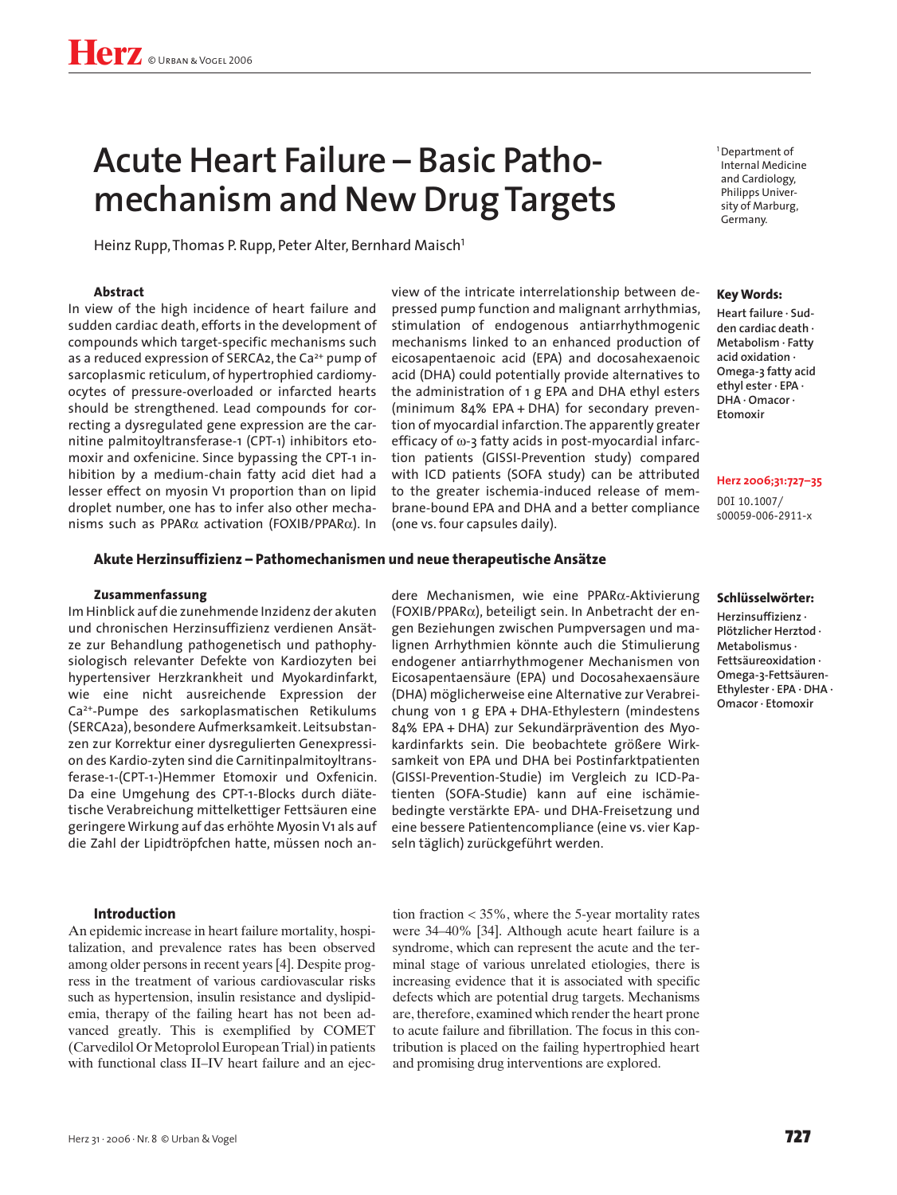# **Acute Heart Failure – Basic Pathomechanism and New Drug Targets**

Heinz Rupp, Thomas P. Rupp, Peter Alter, Bernhard Maisch<sup>1</sup>

## **Abstract**

In view of the high incidence of heart failure and sudden cardiac death, efforts in the development of compounds which target-specific mechanisms such as a reduced expression of SERCA2, the Ca<sup>2+</sup> pump of sarcoplasmic reticulum, of hypertrophied cardiomyocytes of pressure-overloaded or infarcted hearts should be strengthened. Lead compounds for correcting a dysregulated gene expression are the carnitine palmitoyltransferase-1 (CPT-1) inhibitors etomoxir and oxfenicine. Since bypassing the CPT-1 inhibition by a medium-chain fatty acid diet had a lesser effect on myosin V1 proportion than on lipid droplet number, one has to infer also other mechanisms such as PPARα activation (FOXIB/PPARα). In view of the intricate interrelationship between depressed pump function and malignant arrhythmias, stimulation of endogenous antiarrhythmogenic mechanisms linked to an enhanced production of eicosapentaenoic acid (EPA) and docosahexaenoic acid (DHA) could potentially provide alternatives to the administration of 1 g EPA and DHA ethyl esters (minimum 84% EPA + DHA) for secondary prevention of myocardial infarction. The apparently greater efficacy of ω-3 fatty acids in post-myocardial infarction patients (GISSI-Prevention study) compared with ICD patients (SOFA study) can be attributed to the greater ischemia-induced release of membrane-bound EPA and DHA and a better compliance (one vs. four capsules daily).

# **Akute Herzinsuffizienz – Pathomechanismen und neue therapeutische Ansätze**

#### **Zusammenfassung**

Im Hinblick auf die zunehmende Inzidenz der akuten und chronischen Herzinsuffizienz verdienen Ansätze zur Behandlung pathogenetisch und pathophysiologisch relevanter Defekte von Kardiozyten bei hypertensiver Herzkrankheit und Myokardinfarkt, wie eine nicht ausreichende Expression der Ca2+-Pumpe des sarkoplasmatischen Retikulums (SERCA2a), besondere Aufmerksamkeit. Leitsubstanzen zur Korrektur einer dysregulierten Genexpression des Kardio-zyten sind die Carnitinpalmitoyltransferase-1-(CPT-1-)Hemmer Etomoxir und Oxfenicin. Da eine Umgehung des CPT-1-Blocks durch diätetische Verabreichung mittelkettiger Fettsäuren eine geringere Wirkung auf das erhöhte Myosin V1 als auf die Zahl der Lipidtröpfchen hatte, müssen noch an-

# **Introduction**

An epidemic increase in heart failure mortality, hospitalization, and prevalence rates has been observed among older persons in recent years [4]. Despite progress in the treatment of various cardiovascular risks such as hypertension, insulin resistance and dyslipidemia, therapy of the failing heart has not been advanced greatly. This is exemplified by COMET (Carvedilol Or Metoprolol European Trial) in patients with functional class II–IV heart failure and an ejecdere Mechanismen, wie eine PPARα-Aktivierung (FOXIB/PPARα), beteiligt sein. In Anbetracht der engen Beziehungen zwischen Pumpversagen und malignen Arrhythmien könnte auch die Stimulierung endogener antiarrhythmogener Mechanismen von Eicosapentaensäure (EPA) und Docosahexaensäure (DHA) möglicherweise eine Alternative zur Verabreichung von 1 g EPA + DHA-Ethylestern (mindestens 84% EPA + DHA) zur Sekundärprävention des Myokardinfarkts sein. Die beobachtete größere Wirksamkeit von EPA und DHA bei Postinfarktpatienten (GISSI-Prevention-Studie) im Vergleich zu ICD-Patienten (SOFA-Studie) kann auf eine ischämiebedingte verstärkte EPA- und DHA-Freisetzung und eine bessere Patientencompliance (eine vs. vier Kapseln täglich) zurückgeführt werden.

<sup>1</sup>Department of Internal Medicine and Cardiology, Philipps University of Marburg, Germany.

#### **Key Words:**

**Heart failure · Sudden cardiac death · Metabolism · Fatty acid oxidation · Omega-3 fatty acid ethyl ester · EPA · DHA · Omacor · Etomoxir**

#### **Herz 2006;31:727–35**

DOI 10.1007/ s00059-006-2911-x

#### **Schlüsselwörter:**

**Herzinsuffizienz · Plötzlicher Herztod · Metabolismus · Fettsäureoxidation · Omega-3-Fettsäuren-Ethylester · EPA · DHA · Omacor · Etomoxir**

tion fraction < 35%, where the 5-year mortality rates were 34–40% [34]. Although acute heart failure is a syndrome, which can represent the acute and the terminal stage of various unrelated etiologies, there is increasing evidence that it is associated with specific defects which are potential drug targets. Mechanisms are, therefore, examined which render the heart prone to acute failure and fibrillation. The focus in this contribution is placed on the failing hypertrophied heart and promising drug interventions are explored.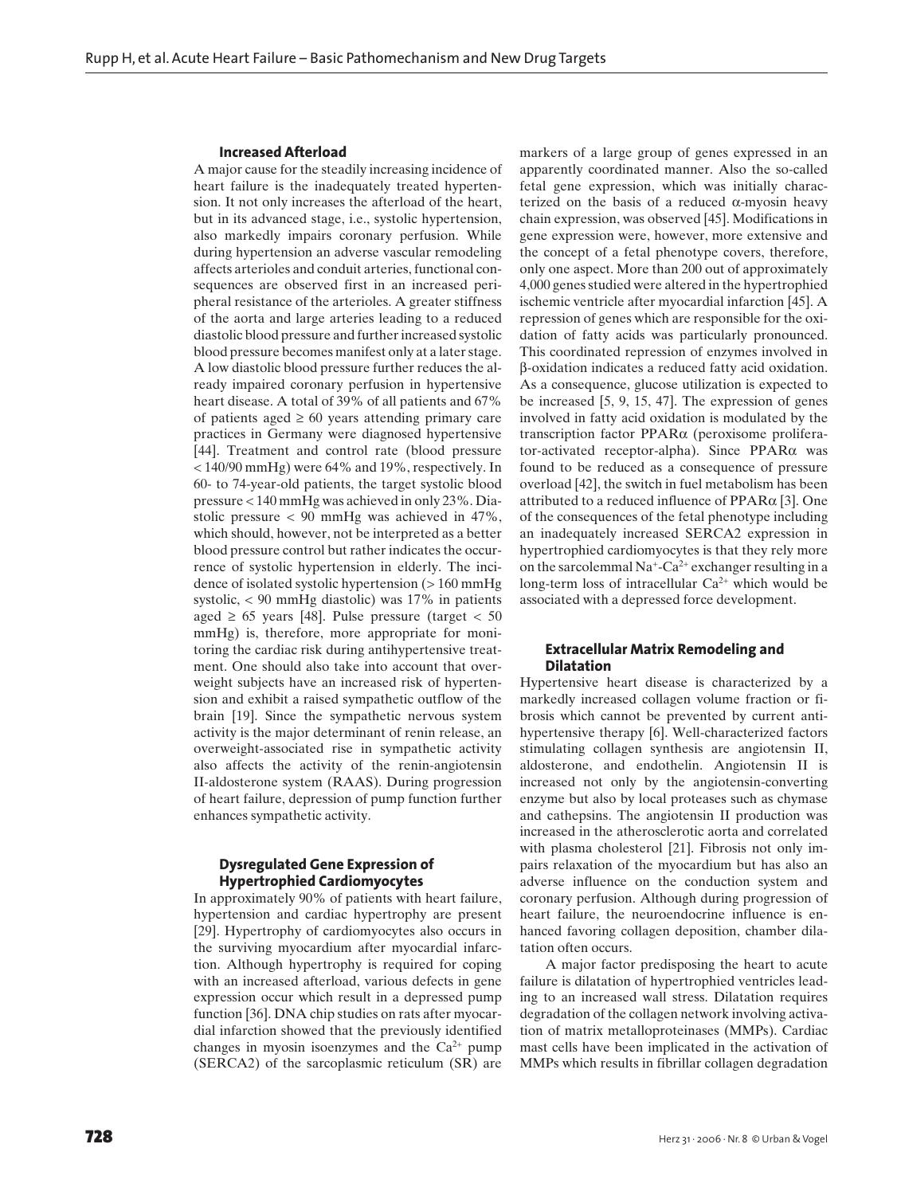#### **Increased Afterload**

A major cause for the steadily increasing incidence of heart failure is the inadequately treated hypertension. It not only increases the afterload of the heart, but in its advanced stage, i.e., systolic hypertension, also markedly impairs coronary perfusion. While during hypertension an adverse vascular remodeling affects arterioles and conduit arteries, functional consequences are observed first in an increased peripheral resistance of the arterioles. A greater stiffness of the aorta and large arteries leading to a reduced diastolic blood pressure and further increased systolic blood pressure becomes manifest only at a later stage. A low diastolic blood pressure further reduces the already impaired coronary perfusion in hypertensive heart disease. A total of 39% of all patients and 67% of patients aged  $\geq 60$  years attending primary care practices in Germany were diagnosed hypertensive [44]. Treatment and control rate (blood pressure < 140/90 mmHg) were 64% and 19%, respectively. In 60- to 74-year-old patients, the target systolic blood pressure < 140 mmHg was achieved in only 23%. Diastolic pressure < 90 mmHg was achieved in 47%, which should, however, not be interpreted as a better blood pressure control but rather indicates the occurrence of systolic hypertension in elderly. The incidence of isolated systolic hypertension (> 160 mmHg systolic, < 90 mmHg diastolic) was 17% in patients aged  $\geq 65$  years [48]. Pulse pressure (target < 50 mmHg) is, therefore, more appropriate for monitoring the cardiac risk during antihypertensive treatment. One should also take into account that overweight subjects have an increased risk of hypertension and exhibit a raised sympathetic outflow of the brain [19]. Since the sympathetic nervous system activity is the major determinant of renin release, an overweight-associated rise in sympathetic activity also affects the activity of the renin-angiotensin II-aldosterone system (RAAS). During progression of heart failure, depression of pump function further enhances sympathetic activity.

# **Dysregulated Gene Expression of Hypertrophied Cardiomyocytes**

In approximately 90% of patients with heart failure, hypertension and cardiac hypertrophy are present [29]. Hypertrophy of cardiomyocytes also occurs in the surviving myocardium after myocardial infarction. Although hypertrophy is required for coping with an increased afterload, various defects in gene expression occur which result in a depressed pump function [36]. DNA chip studies on rats after myocardial infarction showed that the previously identified changes in myosin isoenzymes and the  $Ca^{2+}$  pump (SERCA2) of the sarcoplasmic reticulum (SR) are markers of a large group of genes expressed in an apparently coordinated manner. Also the so-called fetal gene expression, which was initially characterized on the basis of a reduced  $\alpha$ -myosin heavy chain expression, was observed [45]. Modifications in gene expression were, however, more extensive and the concept of a fetal phenotype covers, therefore, only one aspect. More than 200 out of approximately 4,000 genes studied were altered in the hypertrophied ischemic ventricle after myocardial infarction [45]. A repression of genes which are responsible for the oxidation of fatty acids was particularly pronounced. This coordinated repression of enzymes involved in β-oxidation indicates a reduced fatty acid oxidation. As a consequence, glucose utilization is expected to be increased [5, 9, 15, 47]. The expression of genes involved in fatty acid oxidation is modulated by the transcription factor PPARα (peroxisome proliferator-activated receptor-alpha). Since PPARα was found to be reduced as a consequence of pressure overload [42], the switch in fuel metabolism has been attributed to a reduced influence of  $PPAR\alpha$  [3]. One of the consequences of the fetal phenotype including an inadequately increased SERCA2 expression in hypertrophied cardiomyocytes is that they rely more on the sarcolemmal  $Na^+$ -Ca<sup>2+</sup> exchanger resulting in a long-term loss of intracellular  $Ca^{2+}$  which would be associated with a depressed force development.

#### **Extracellular Matrix Remodeling and Dilatation**

Hypertensive heart disease is characterized by a markedly increased collagen volume fraction or fibrosis which cannot be prevented by current antihypertensive therapy [6]. Well-characterized factors stimulating collagen synthesis are angiotensin II, aldosterone, and endothelin. Angiotensin II is increased not only by the angiotensin-converting enzyme but also by local proteases such as chymase and cathepsins. The angiotensin II production was increased in the atherosclerotic aorta and correlated with plasma cholesterol [21]. Fibrosis not only impairs relaxation of the myocardium but has also an adverse influence on the conduction system and coronary perfusion. Although during progression of heart failure, the neuroendocrine influence is enhanced favoring collagen deposition, chamber dilatation often occurs.

A major factor predisposing the heart to acute failure is dilatation of hypertrophied ventricles leading to an increased wall stress. Dilatation requires degradation of the collagen network involving activation of matrix metalloproteinases (MMPs). Cardiac mast cells have been implicated in the activation of MMPs which results in fibrillar collagen degradation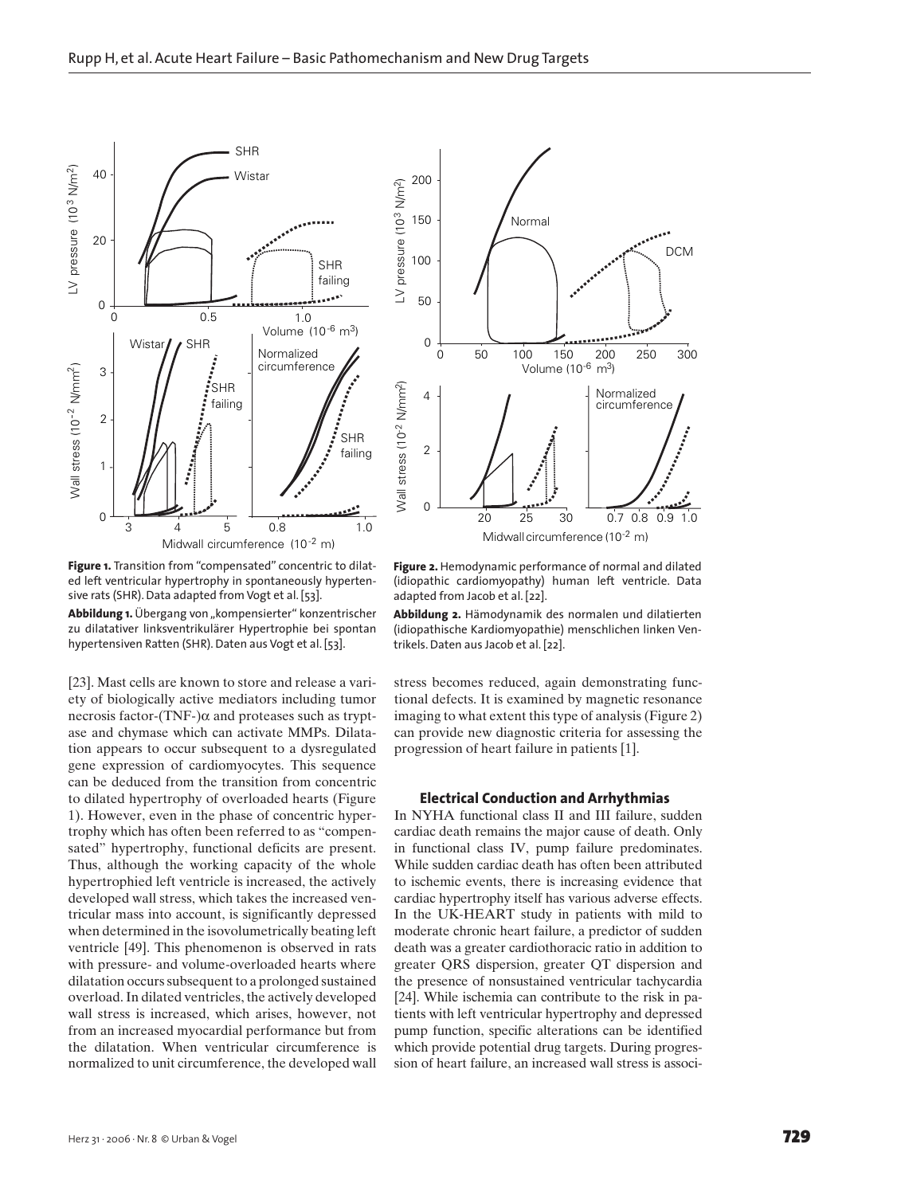

**Figure 1.** Transition from "compensated" concentric to dilated left ventricular hypertrophy in spontaneously hypertensive rats (SHR). Data adapted from Vogt et al. [53].

Abbildung 1. Übergang von "kompensierter" konzentrischer zu dilatativer linksventrikulärer Hypertrophie bei spontan hypertensiven Ratten (SHR). Daten aus Vogt et al. [53].

[23]. Mast cells are known to store and release a variety of biologically active mediators including tumor necrosis factor-(TNF-)α and proteases such as tryptase and chymase which can activate MMPs. Dilatation appears to occur subsequent to a dysregulated gene expression of cardiomyocytes. This sequence can be deduced from the transition from concentric to dilated hypertrophy of overloaded hearts (Figure 1). However, even in the phase of concentric hypertrophy which has often been referred to as "compensated" hypertrophy, functional deficits are present. Thus, although the working capacity of the whole hypertrophied left ventricle is increased, the actively developed wall stress, which takes the increased ventricular mass into account, is significantly depressed when determined in the isovolumetrically beating left ventricle [49]. This phenomenon is observed in rats with pressure- and volume-overloaded hearts where dilatation occurs subsequent to a prolonged sustained overload. In dilated ventricles, the actively developed wall stress is increased, which arises, however, not from an increased myocardial performance but from the dilatation. When ventricular circumference is normalized to unit circumference, the developed wall



**Figure 2.** Hemodynamic performance of normal and dilated (idiopathic cardiomyopathy) human left ventricle. Data adapted from Jacob et al. [22].

**Abbildung 2.** Hämodynamik des normalen und dilatierten (idiopathische Kardiomyopathie) menschlichen linken Ventrikels. Daten aus Jacob et al. [22].

stress becomes reduced, again demonstrating functional defects. It is examined by magnetic resonance imaging to what extent this type of analysis (Figure 2) can provide new diagnostic criteria for assessing the progression of heart failure in patients [1].

# **Electrical Conduction and Arrhythmias**

In NYHA functional class II and III failure, sudden cardiac death remains the major cause of death. Only in functional class IV, pump failure predominates. While sudden cardiac death has often been attributed to ischemic events, there is increasing evidence that cardiac hypertrophy itself has various adverse effects. In the UK-HEART study in patients with mild to moderate chronic heart failure, a predictor of sudden death was a greater cardiothoracic ratio in addition to greater QRS dispersion, greater QT dispersion and the presence of nonsustained ventricular tachycardia [24]. While ischemia can contribute to the risk in patients with left ventricular hypertrophy and depressed pump function, specific alterations can be identified which provide potential drug targets. During progression of heart failure, an increased wall stress is associ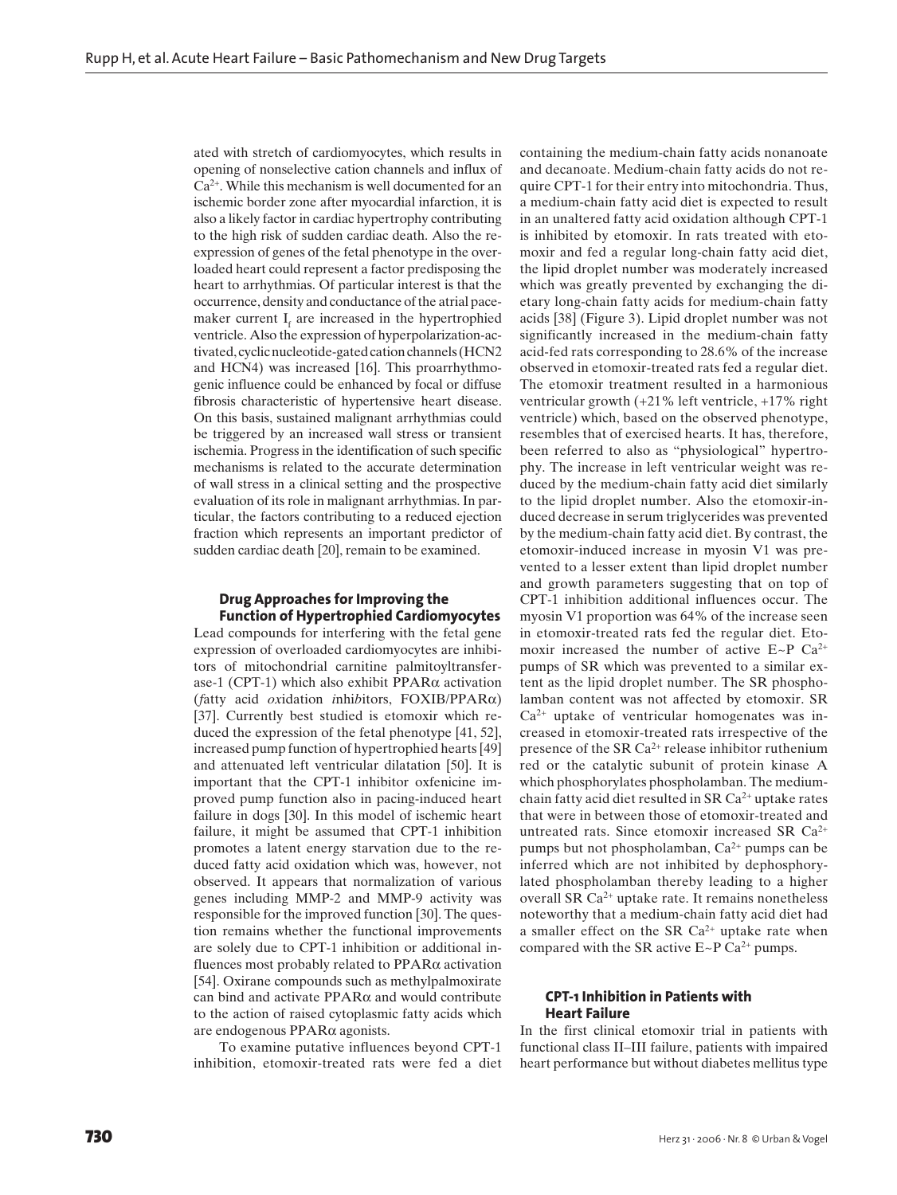ated with stretch of cardiomyocytes, which results in opening of nonselective cation channels and influx of  $Ca<sup>2+</sup>$ . While this mechanism is well documented for an ischemic border zone after myocardial infarction, it is also a likely factor in cardiac hypertrophy contributing to the high risk of sudden cardiac death. Also the reexpression of genes of the fetal phenotype in the overloaded heart could represent a factor predisposing the heart to arrhythmias. Of particular interest is that the occurrence, density and conductance of the atrial pacemaker current  $I_f$  are increased in the hypertrophied ventricle. Also the expression of hyperpolarization-activated, cyclic nucleotide-gated cation channels (HCN2 and HCN4) was increased [16]. This proarrhythmogenic influence could be enhanced by focal or diffuse fibrosis characteristic of hypertensive heart disease. On this basis, sustained malignant arrhythmias could be triggered by an increased wall stress or transient ischemia. Progress in the identification of such specific mechanisms is related to the accurate determination of wall stress in a clinical setting and the prospective evaluation of its role in malignant arrhythmias. In particular, the factors contributing to a reduced ejection fraction which represents an important predictor of sudden cardiac death [20], remain to be examined.

# **Drug Approaches for Improving the Function of Hypertrophied Cardiomyocytes**

Lead compounds for interfering with the fetal gene expression of overloaded cardiomyocytes are inhibitors of mitochondrial carnitine palmitoyltransferase-1 (CPT-1) which also exhibit  $PPAR\alpha$  activation (*f*atty acid *ox*idation *i*nhi*b*itors, FOXIB/PPARα) [37]. Currently best studied is etomoxir which reduced the expression of the fetal phenotype [41, 52], increased pump function of hypertrophied hearts [49] and attenuated left ventricular dilatation [50]. It is important that the CPT-1 inhibitor oxfenicine improved pump function also in pacing-induced heart failure in dogs [30]. In this model of ischemic heart failure, it might be assumed that CPT-1 inhibition promotes a latent energy starvation due to the reduced fatty acid oxidation which was, however, not observed. It appears that normalization of various genes including MMP-2 and MMP-9 activity was responsible for the improved function [30]. The question remains whether the functional improvements are solely due to CPT-1 inhibition or additional influences most probably related to PPARα activation [54]. Oxirane compounds such as methylpalmoxirate can bind and activate PPARα and would contribute to the action of raised cytoplasmic fatty acids which are endogenous PPARα agonists.

To examine putative influences beyond CPT-1 inhibition, etomoxir-treated rats were fed a diet containing the medium-chain fatty acids nonanoate and decanoate. Medium-chain fatty acids do not require CPT-1 for their entry into mitochondria. Thus, a medium-chain fatty acid diet is expected to result in an unaltered fatty acid oxidation although CPT-1 is inhibited by etomoxir. In rats treated with etomoxir and fed a regular long-chain fatty acid diet, the lipid droplet number was moderately increased which was greatly prevented by exchanging the dietary long-chain fatty acids for medium-chain fatty acids [38] (Figure 3). Lipid droplet number was not significantly increased in the medium-chain fatty acid-fed rats corresponding to 28.6% of the increase observed in etomoxir-treated rats fed a regular diet. The etomoxir treatment resulted in a harmonious ventricular growth (+21% left ventricle, +17% right ventricle) which, based on the observed phenotype, resembles that of exercised hearts. It has, therefore, been referred to also as "physiological" hypertrophy. The increase in left ventricular weight was reduced by the medium-chain fatty acid diet similarly to the lipid droplet number. Also the etomoxir-induced decrease in serum triglycerides was prevented by the medium-chain fatty acid diet. By contrast, the etomoxir-induced increase in myosin V1 was prevented to a lesser extent than lipid droplet number and growth parameters suggesting that on top of CPT-1 inhibition additional influences occur. The myosin V1 proportion was 64% of the increase seen in etomoxir-treated rats fed the regular diet. Etomoxir increased the number of active  $E \sim P$  Ca<sup>2+</sup> pumps of SR which was prevented to a similar extent as the lipid droplet number. The SR phospholamban content was not affected by etomoxir. SR Ca2+ uptake of ventricular homogenates was increased in etomoxir-treated rats irrespective of the presence of the SR  $Ca^{2+}$  release inhibitor ruthenium red or the catalytic subunit of protein kinase A which phosphorylates phospholamban. The mediumchain fatty acid diet resulted in SR  $Ca<sup>2+</sup>$  uptake rates that were in between those of etomoxir-treated and untreated rats. Since etomoxir increased SR Ca2+ pumps but not phospholamban,  $Ca^{2+}$  pumps can be inferred which are not inhibited by dephosphorylated phospholamban thereby leading to a higher overall SR Ca<sup>2+</sup> uptake rate. It remains nonetheless noteworthy that a medium-chain fatty acid diet had a smaller effect on the SR  $Ca^{2+}$  uptake rate when compared with the SR active  $E \sim P C a^{2+}$  pumps.

# **CPT-1 Inhibition in Patients with Heart Failure**

In the first clinical etomoxir trial in patients with functional class II–III failure, patients with impaired heart performance but without diabetes mellitus type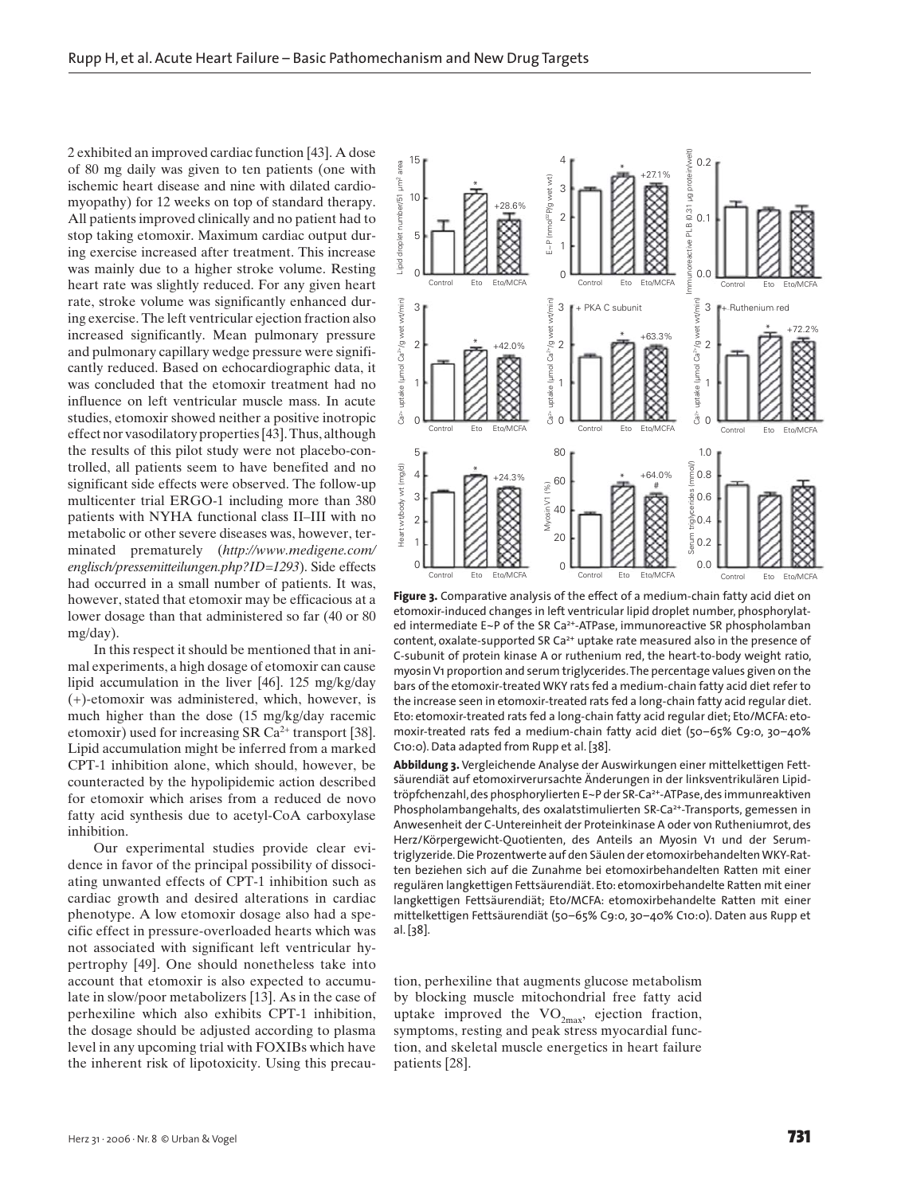2 exhibited an improved cardiac function [43]. A dose of 80 mg daily was given to ten patients (one with ischemic heart disease and nine with dilated cardiomyopathy) for 12 weeks on top of standard therapy. All patients improved clinically and no patient had to stop taking etomoxir. Maximum cardiac output during exercise increased after treatment. This increase was mainly due to a higher stroke volume. Resting heart rate was slightly reduced. For any given heart rate, stroke volume was significantly enhanced during exercise. The left ventricular ejection fraction also increased significantly. Mean pulmonary pressure and pulmonary capillary wedge pressure were significantly reduced. Based on echocardiographic data, it was concluded that the etomoxir treatment had no influence on left ventricular muscle mass. In acute studies, etomoxir showed neither a positive inotropic effect nor vasodilatory properties [43]. Thus, although the results of this pilot study were not placebo-controlled, all patients seem to have benefited and no significant side effects were observed. The follow-up multicenter trial ERGO-1 including more than 380 patients with NYHA functional class II–III with no metabolic or other severe diseases was, however, terminated prematurely (*http://www.medigene.com/ englisch/pressemitteilungen.php?ID=1293*). Side effects had occurred in a small number of patients. It was, however, stated that etomoxir may be efficacious at a lower dosage than that administered so far (40 or 80 mg/day).

In this respect it should be mentioned that in animal experiments, a high dosage of etomoxir can cause lipid accumulation in the liver [46]. 125 mg/kg/day (+)-etomoxir was administered, which, however, is much higher than the dose (15 mg/kg/day racemic etomoxir) used for increasing SR  $Ca^{2+}$  transport [38]. Lipid accumulation might be inferred from a marked CPT-1 inhibition alone, which should, however, be counteracted by the hypolipidemic action described for etomoxir which arises from a reduced de novo fatty acid synthesis due to acetyl-CoA carboxylase inhibition.

Our experimental studies provide clear evidence in favor of the principal possibility of dissociating unwanted effects of CPT-1 inhibition such as cardiac growth and desired alterations in cardiac phenotype. A low etomoxir dosage also had a specific effect in pressure-overloaded hearts which was not associated with significant left ventricular hypertrophy [49]. One should nonetheless take into account that etomoxir is also expected to accumulate in slow/poor metabolizers [13]. As in the case of perhexiline which also exhibits CPT-1 inhibition, the dosage should be adjusted according to plasma level in any upcoming trial with FOXIBs which have the inherent risk of lipotoxicity. Using this precau-



**Figure 3.** Comparative analysis of the effect of a medium-chain fatty acid diet on etomoxir-induced changes in left ventricular lipid droplet number, phosphorylated intermediate E~P of the SR Ca<sup>2+</sup>-ATPase, immunoreactive SR phospholamban content, oxalate-supported SR Ca<sup>2+</sup> uptake rate measured also in the presence of C-subunit of protein kinase A or ruthenium red, the heart-to-body weight ratio, myosin V1 proportion and serum triglycerides. The percentage values given on the bars of the etomoxir-treated WKY rats fed a medium-chain fatty acid diet refer to the increase seen in etomoxir-treated rats fed a long-chain fatty acid regular diet. Eto: etomoxir-treated rats fed a long-chain fatty acid regular diet; Eto/MCFA: etomoxir-treated rats fed a medium-chain fatty acid diet (50–65% C9:0, 30–40% C10:0). Data adapted from Rupp et al. [38].

**Abbildung 3.** Vergleichende Analyse der Auswirkungen einer mittelkettigen Fettsäurendiät auf etomoxirverursachte Änderungen in der linksventrikulären Lipidtröpfchenzahl, des phosphorylierten E~P der SR-Ca<sup>2+</sup>-ATPase, des immunreaktiven Phospholambangehalts, des oxalatstimulierten SR-Ca<sup>2+</sup>-Transports, gemessen in Anwesenheit der C-Untereinheit der Proteinkinase A oder von Rutheniumrot, des Herz/Körpergewicht-Quotienten, des Anteils an Myosin V1 und der Serumtriglyzeride. Die Prozentwerte auf den Säulen der etomoxirbehandelten WKY-Ratten beziehen sich auf die Zunahme bei etomoxirbehandelten Ratten mit einer regulären langkettigen Fettsäurendiät. Eto: etomoxirbehandelte Ratten mit einer langkettigen Fettsäurendiät; Eto/MCFA: etomoxirbehandelte Ratten mit einer mittelkettigen Fettsäurendiät (50–65% C9:0, 30–40% C10:0). Daten aus Rupp et al. [38].

tion, perhexiline that augments glucose metabolism by blocking muscle mitochondrial free fatty acid uptake improved the  $VO_{2max}$ , ejection fraction, symptoms, resting and peak stress myocardial function, and skeletal muscle energetics in heart failure patients [28].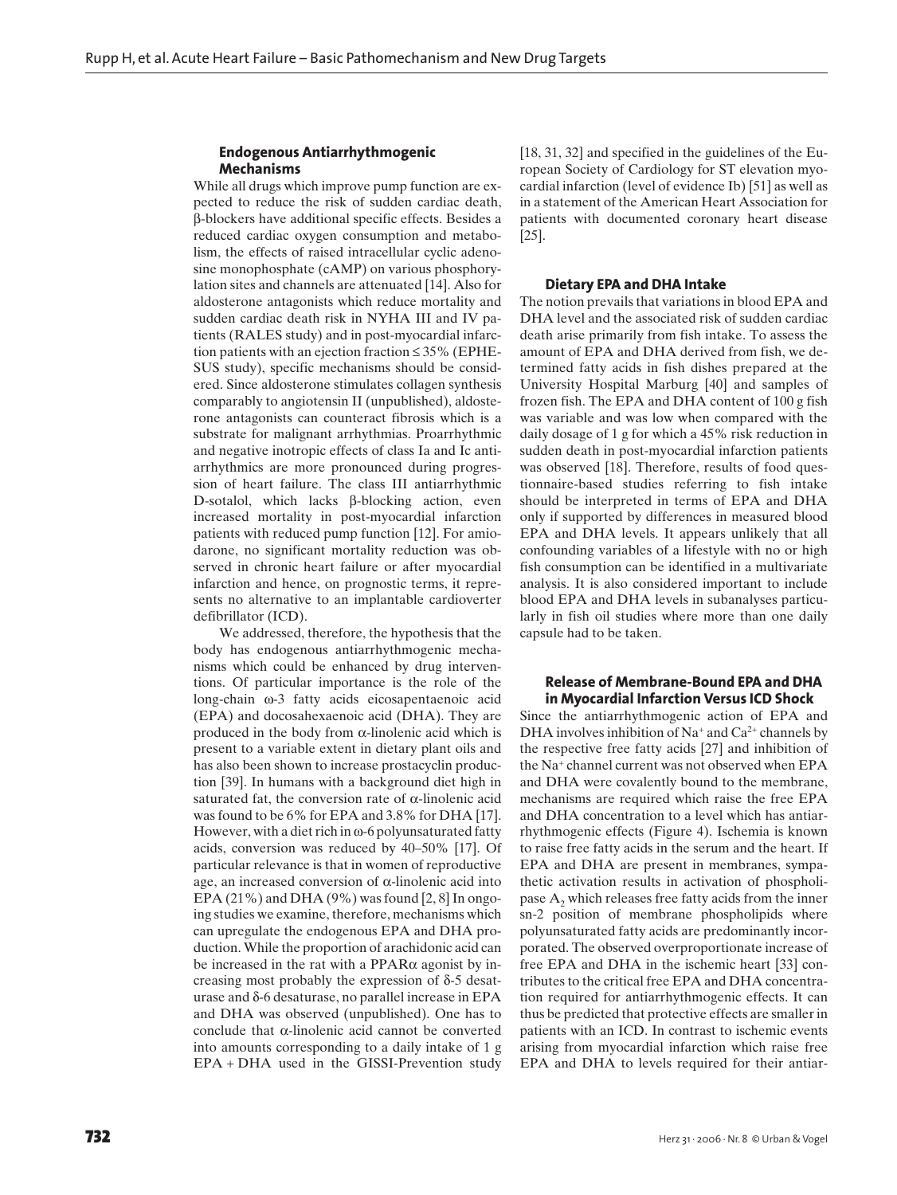# **Endogenous Antiarrhythmogenic Mechanisms**

While all drugs which improve pump function are expected to reduce the risk of sudden cardiac death, β-blockers have additional specific effects. Besides a reduced cardiac oxygen consumption and metabolism, the effects of raised intracellular cyclic adenosine monophosphate (cAMP) on various phosphorylation sites and channels are attenuated [14]. Also for aldosterone antagonists which reduce mortality and sudden cardiac death risk in NYHA III and IV patients (RALES study) and in post-myocardial infarction patients with an ejection fraction ≤ 35% (EPHE-SUS study), specific mechanisms should be considered. Since aldosterone stimulates collagen synthesis comparably to angiotensin II (unpublished), aldosterone antagonists can counteract fibrosis which is a substrate for malignant arrhythmias. Proarrhythmic and negative inotropic effects of class Ia and Ic antiarrhythmics are more pronounced during progression of heart failure. The class III antiarrhythmic D-sotalol, which lacks β-blocking action, even increased mortality in post-myocardial infarction patients with reduced pump function [12]. For amiodarone, no significant mortality reduction was observed in chronic heart failure or after myocardial infarction and hence, on prognostic terms, it represents no alternative to an implantable cardioverter defibrillator (ICD).

We addressed, therefore, the hypothesis that the body has endogenous antiarrhythmogenic mechanisms which could be enhanced by drug interventions. Of particular importance is the role of the long-chain ω-3 fatty acids eicosapentaenoic acid (EPA) and docosahexaenoic acid (DHA). They are produced in the body from  $\alpha$ -linolenic acid which is present to a variable extent in dietary plant oils and has also been shown to increase prostacyclin production [39]. In humans with a background diet high in saturated fat, the conversion rate of  $\alpha$ -linolenic acid was found to be 6% for EPA and 3.8% for DHA [17]. However, with a diet rich in ω-6 polyunsaturated fatty acids, conversion was reduced by 40–50% [17]. Of particular relevance is that in women of reproductive age, an increased conversion of α-linolenic acid into EPA  $(21\%)$  and DHA  $(9\%)$  was found  $[2, 8]$  In ongoing studies we examine, therefore, mechanisms which can upregulate the endogenous EPA and DHA production. While the proportion of arachidonic acid can be increased in the rat with a PPAR $\alpha$  agonist by increasing most probably the expression of δ-5 desaturase and δ-6 desaturase, no parallel increase in EPA and DHA was observed (unpublished). One has to conclude that α-linolenic acid cannot be converted into amounts corresponding to a daily intake of 1 g EPA + DHA used in the GISSI-Prevention study [18, 31, 32] and specified in the guidelines of the European Society of Cardiology for ST elevation myocardial infarction (level of evidence Ib) [51] as well as in a statement of the American Heart Association for patients with documented coronary heart disease [25].

#### **Dietary EPA and DHA Intake**

The notion prevails that variations in blood EPA and DHA level and the associated risk of sudden cardiac death arise primarily from fish intake. To assess the amount of EPA and DHA derived from fish, we determined fatty acids in fish dishes prepared at the University Hospital Marburg [40] and samples of frozen fish. The EPA and DHA content of 100 g fish was variable and was low when compared with the daily dosage of 1 g for which a 45% risk reduction in sudden death in post-myocardial infarction patients was observed [18]. Therefore, results of food questionnaire-based studies referring to fish intake should be interpreted in terms of EPA and DHA only if supported by differences in measured blood EPA and DHA levels. It appears unlikely that all confounding variables of a lifestyle with no or high fish consumption can be identified in a multivariate analysis. It is also considered important to include blood EPA and DHA levels in subanalyses particularly in fish oil studies where more than one daily capsule had to be taken.

# **Release of Membrane-Bound EPA and DHA in Myocardial Infarction Versus ICD Shock**

Since the antiarrhythmogenic action of EPA and DHA involves inhibition of Na<sup>+</sup> and Ca<sup>2+</sup> channels by the respective free fatty acids [27] and inhibition of the Na+ channel current was not observed when EPA and DHA were covalently bound to the membrane, mechanisms are required which raise the free EPA and DHA concentration to a level which has antiarrhythmogenic effects (Figure 4). Ischemia is known to raise free fatty acids in the serum and the heart. If EPA and DHA are present in membranes, sympathetic activation results in activation of phospholipase  $A_2$  which releases free fatty acids from the inner sn-2 position of membrane phospholipids where polyunsaturated fatty acids are predominantly incorporated. The observed overproportionate increase of free EPA and DHA in the ischemic heart [33] contributes to the critical free EPA and DHA concentration required for antiarrhythmogenic effects. It can thus be predicted that protective effects are smaller in patients with an ICD. In contrast to ischemic events arising from myocardial infarction which raise free EPA and DHA to levels required for their antiar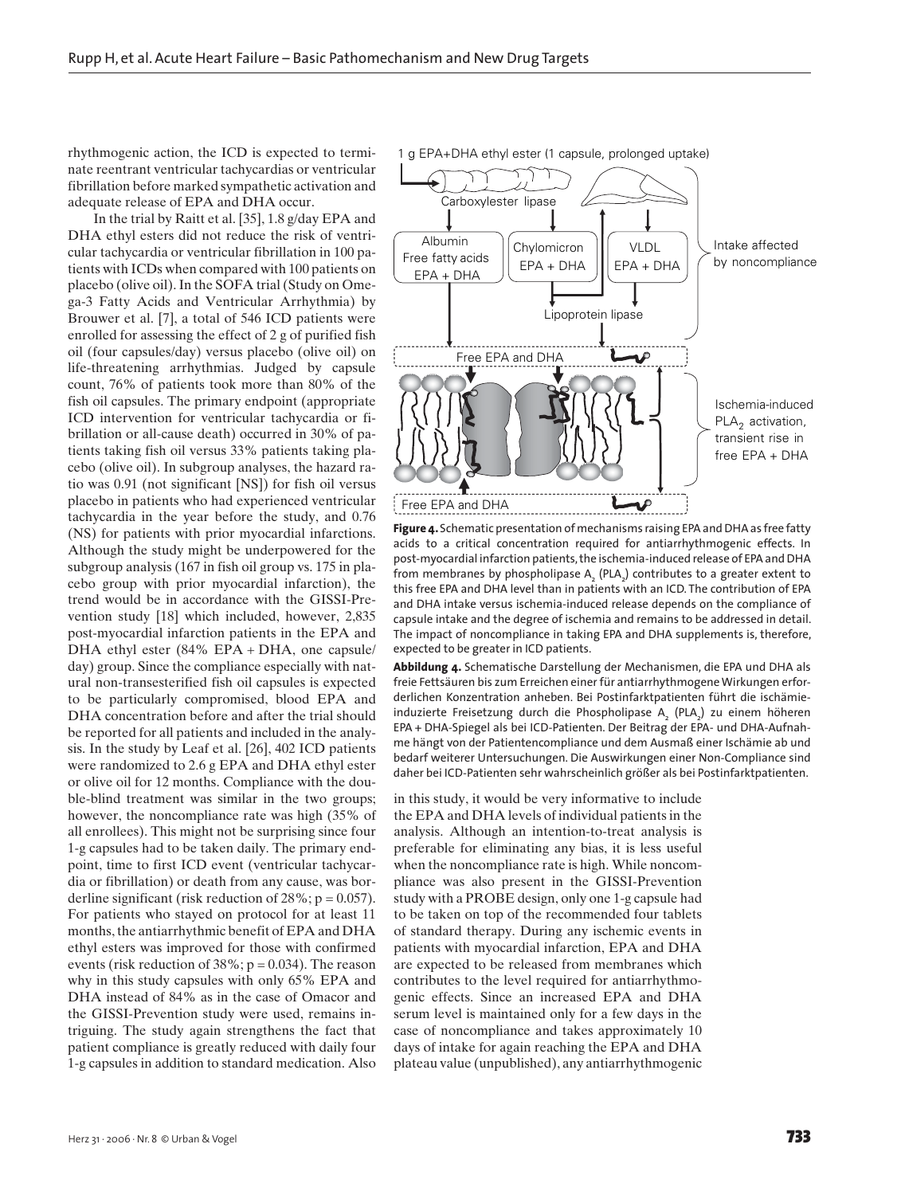rhythmogenic action, the ICD is expected to terminate reentrant ventricular tachycardias or ventricular fibrillation before marked sympathetic activation and adequate release of EPA and DHA occur.

In the trial by Raitt et al. [35], 1.8 g/day EPA and DHA ethyl esters did not reduce the risk of ventricular tachycardia or ventricular fibrillation in 100 patients with ICDs when compared with 100 patients on placebo (olive oil). In the SOFA trial (Study on Omega-3 Fatty Acids and Ventricular Arrhythmia) by Brouwer et al. [7], a total of 546 ICD patients were enrolled for assessing the effect of 2 g of purified fish oil (four capsules/day) versus placebo (olive oil) on life-threatening arrhythmias. Judged by capsule count, 76% of patients took more than 80% of the fish oil capsules. The primary endpoint (appropriate ICD intervention for ventricular tachycardia or fibrillation or all-cause death) occurred in 30% of patients taking fish oil versus 33% patients taking placebo (olive oil). In subgroup analyses, the hazard ratio was 0.91 (not significant [NS]) for fish oil versus placebo in patients who had experienced ventricular tachycardia in the year before the study, and 0.76 (NS) for patients with prior myocardial infarctions. Although the study might be underpowered for the subgroup analysis (167 in fish oil group vs. 175 in placebo group with prior myocardial infarction), the trend would be in accordance with the GISSI-Prevention study [18] which included, however, 2,835 post-myocardial infarction patients in the EPA and DHA ethyl ester (84% EPA + DHA, one capsule/ day) group. Since the compliance especially with natural non-transesterified fish oil capsules is expected to be particularly compromised, blood EPA and DHA concentration before and after the trial should be reported for all patients and included in the analysis. In the study by Leaf et al. [26], 402 ICD patients were randomized to 2.6 g EPA and DHA ethyl ester or olive oil for 12 months. Compliance with the double-blind treatment was similar in the two groups; however, the noncompliance rate was high (35% of all enrollees). This might not be surprising since four 1-g capsules had to be taken daily. The primary endpoint, time to first ICD event (ventricular tachycardia or fibrillation) or death from any cause, was borderline significant (risk reduction of  $28\%$ ; p = 0.057). For patients who stayed on protocol for at least 11 months, the antiarrhythmic benefit of EPA and DHA ethyl esters was improved for those with confirmed events (risk reduction of  $38\%$ ; p = 0.034). The reason why in this study capsules with only 65% EPA and DHA instead of 84% as in the case of Omacor and the GISSI-Prevention study were used, remains intriguing. The study again strengthens the fact that patient compliance is greatly reduced with daily four 1-g capsules in addition to standard medication. Also 1 g EPA+DHA ethyl ester (1 capsule, prolonged uptake)



**Figure 4.** Schematic presentation of mechanisms raising EPA and DHA as free fatty acids to a critical concentration required for antiarrhythmogenic effects. In post-myocardial infarction patients, the ischemia-induced release of EPA and DHA from membranes by phospholipase  $\mathsf{A}_\mathsf{2}$  (PLA $\mathsf{2}$ ) contributes to a greater extent to this free EPA and DHA level than in patients with an ICD. The contribution of EPA and DHA intake versus ischemia-induced release depends on the compliance of capsule intake and the degree of ischemia and remains to be addressed in detail. The impact of noncompliance in taking EPA and DHA supplements is, therefore, expected to be greater in ICD patients.

**Abbildung 4.** Schematische Darstellung der Mechanismen, die EPA und DHA als freie Fettsäuren bis zum Erreichen einer für antiarrhythmogene Wirkungen erforderlichen Konzentration anheben. Bei Postinfarktpatienten führt die ischämieinduzierte Freisetzung durch die Phospholipase  $A_2$  (PLA<sub>2</sub>) zu einem höheren EPA + DHA-Spiegel als bei ICD-Patienten. Der Beitrag der EPA- und DHA-Aufnahme hängt von der Patientencompliance und dem Ausmaß einer Ischämie ab und bedarf weiterer Untersuchungen. Die Auswirkungen einer Non-Compliance sind daher bei ICD-Patienten sehr wahrscheinlich größer als bei Postinfarktpatienten.

in this study, it would be very informative to include the EPA and DHA levels of individual patients in the analysis. Although an intention-to-treat analysis is preferable for eliminating any bias, it is less useful when the noncompliance rate is high. While noncompliance was also present in the GISSI-Prevention study with a PROBE design, only one 1-g capsule had to be taken on top of the recommended four tablets of standard therapy. During any ischemic events in patients with myocardial infarction, EPA and DHA are expected to be released from membranes which contributes to the level required for antiarrhythmogenic effects. Since an increased EPA and DHA serum level is maintained only for a few days in the case of noncompliance and takes approximately 10 days of intake for again reaching the EPA and DHA plateau value (unpublished), any antiarrhythmogenic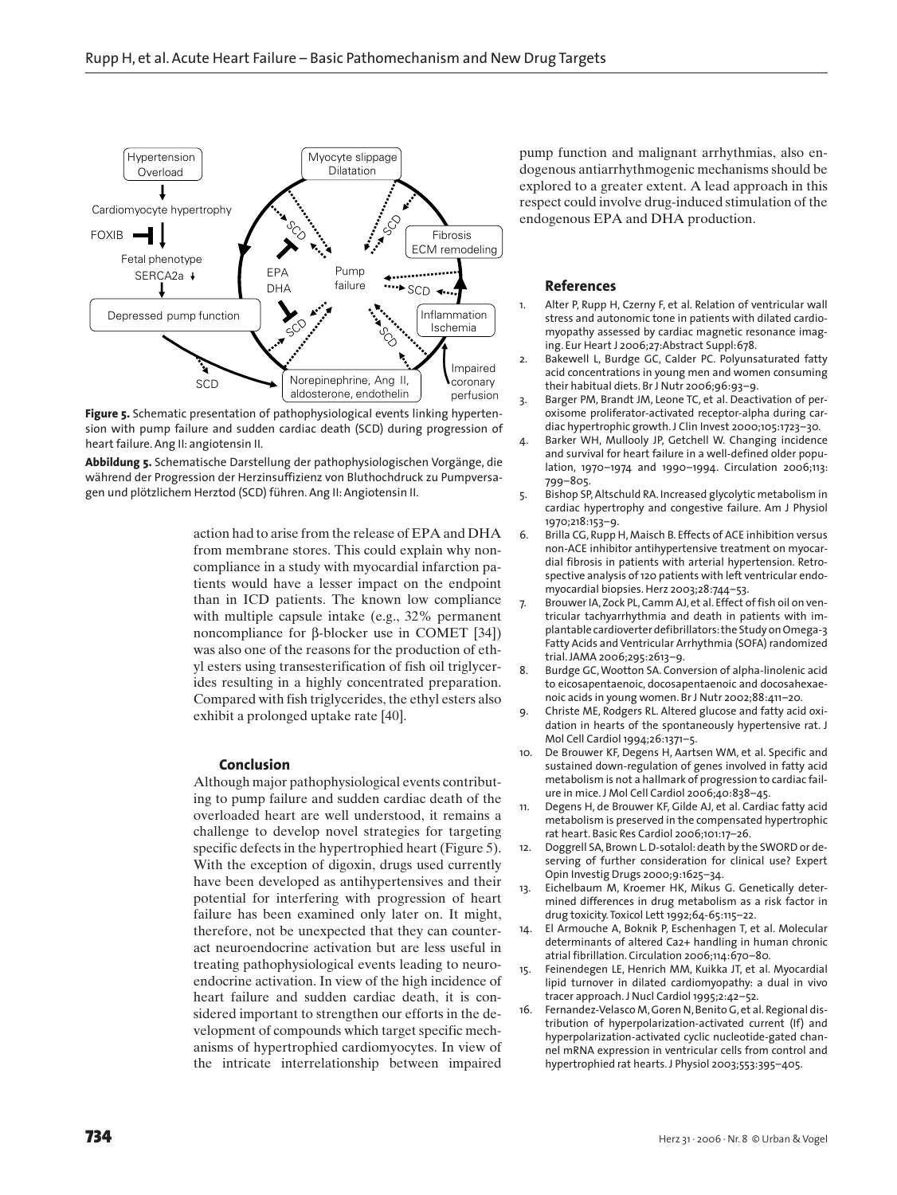

**Figure 5.** Schematic presentation of pathophysiological events linking hypertension with pump failure and sudden cardiac death (SCD) during progression of heart failure. Ang II: angiotensin II.

**Abbildung 5.** Schematische Darstellung der pathophysiologischen Vorgänge, die während der Progression der Herzinsuffizienz von Bluthochdruck zu Pumpversagen und plötzlichem Herztod (SCD) führen. Ang II: Angiotensin II.

> action had to arise from the release of EPA and DHA from membrane stores. This could explain why noncompliance in a study with myocardial infarction patients would have a lesser impact on the endpoint than in ICD patients. The known low compliance with multiple capsule intake (e.g., 32% permanent noncompliance for β-blocker use in COMET [34]) was also one of the reasons for the production of ethyl esters using transesterification of fish oil triglycerides resulting in a highly concentrated preparation. Compared with fish triglycerides, the ethyl esters also exhibit a prolonged uptake rate [40].

#### **Conclusion**

Although major pathophysiological events contributing to pump failure and sudden cardiac death of the overloaded heart are well understood, it remains a challenge to develop novel strategies for targeting specific defects in the hypertrophied heart (Figure 5). With the exception of digoxin, drugs used currently have been developed as antihypertensives and their potential for interfering with progression of heart failure has been examined only later on. It might, therefore, not be unexpected that they can counteract neuroendocrine activation but are less useful in treating pathophysiological events leading to neuroendocrine activation. In view of the high incidence of heart failure and sudden cardiac death, it is considered important to strengthen our efforts in the development of compounds which target specific mechanisms of hypertrophied cardiomyocytes. In view of the intricate interrelationship between impaired

pump function and malignant arrhythmias, also endogenous antiarrhythmogenic mechanisms should be explored to a greater extent. A lead approach in this respect could involve drug-induced stimulation of the endogenous EPA and DHA production.

# **References**

- 1. Alter P, Rupp H, Czerny F, et al. Relation of ventricular wall stress and autonomic tone in patients with dilated cardiomyopathy assessed by cardiac magnetic resonance imaging. Eur Heart J 2006;27:Abstract Suppl:678.
- 2. Bakewell L, Burdge GC, Calder PC. Polyunsaturated fatty acid concentrations in young men and women consuming their habitual diets. Br J Nutr 2006;96:93–9.
- 3. Barger PM, Brandt JM, Leone TC, et al. Deactivation of peroxisome proliferator-activated receptor-alpha during cardiac hypertrophic growth. J Clin Invest 2000;105:1723–30.
- 4. Barker WH, Mullooly JP, Getchell W. Changing incidence and survival for heart failure in a well-defined older population, 1970–1974 and 1990–1994. Circulation 2006;113: 799–805.
- 5. Bishop SP, Altschuld RA. Increased glycolytic metabolism in cardiac hypertrophy and congestive failure. Am J Physiol 1970;218:153–9.
- 6. Brilla CG, Rupp H, Maisch B. Effects of ACE inhibition versus non-ACE inhibitor antihypertensive treatment on myocardial fibrosis in patients with arterial hypertension. Retrospective analysis of 120 patients with left ventricular endomyocardial biopsies. Herz 2003;28:744–53.
- 7. Brouwer IA, Zock PL, Camm AJ, et al. Effect of fish oil on ventricular tachyarrhythmia and death in patients with implantable cardioverter defibrillators: the Study on Omega-3 Fatty Acids and Ventricular Arrhythmia (SOFA) randomized trial. JAMA 2006;295:2613–9.
- 8. Burdge GC, Wootton SA. Conversion of alpha-linolenic acid to eicosapentaenoic, docosapentaenoic and docosahexaenoic acids in young women. Br J Nutr 2002;88:411–20.
- 9. Christe ME, Rodgers RL. Altered glucose and fatty acid oxidation in hearts of the spontaneously hypertensive rat. J Mol Cell Cardiol 1994;26:1371–5.
- De Brouwer KF, Degens H, Aartsen WM, et al. Specific and sustained down-regulation of genes involved in fatty acid metabolism is not a hallmark of progression to cardiac failure in mice. J Mol Cell Cardiol 2006;40:838–45.
- 11. Degens H, de Brouwer KF, Gilde AJ, et al. Cardiac fatty acid metabolism is preserved in the compensated hypertrophic rat heart. Basic Res Cardiol 2006;101:17–26.
- 12. Doggrell SA, Brown L. D-sotalol: death by the SWORD or deserving of further consideration for clinical use? Expert Opin Investig Drugs 2000;9:1625–34.
- 13. Eichelbaum M, Kroemer HK, Mikus G. Genetically determined differences in drug metabolism as a risk factor in drug toxicity. Toxicol Lett 1992;64-65:115–22.
- 14. El Armouche A, Boknik P, Eschenhagen T, et al. Molecular determinants of altered Ca2+ handling in human chronic atrial fibrillation. Circulation 2006;114:670–80.
- 15. Feinendegen LE, Henrich MM, Kuikka JT, et al. Myocardial lipid turnover in dilated cardiomyopathy: a dual in vivo tracer approach. J Nucl Cardiol 1995;2:42–52.
- 16. Fernandez-Velasco M, Goren N, Benito G, et al. Regional distribution of hyperpolarization-activated current (If) and hyperpolarization-activated cyclic nucleotide-gated channel mRNA expression in ventricular cells from control and hypertrophied rat hearts. J Physiol 2003;553:395–405.